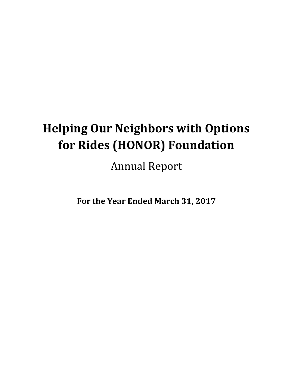# **Helping Our Neighbors with Options for Rides (HONOR) Foundation**

Annual Report

**For the Year Ended March 31, 2017**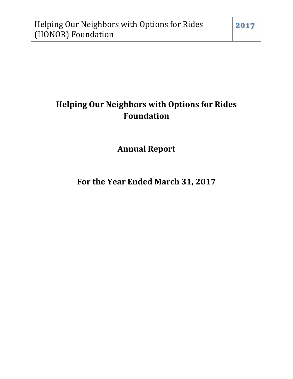# **Helping Our Neighbors with Options for Rides Foundation**

**Annual Report** 

**For the Year Ended March 31, 2017**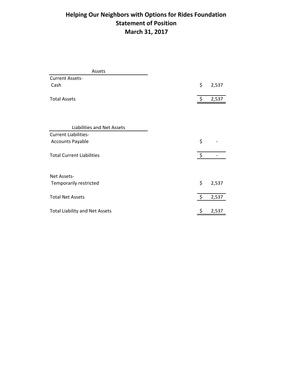### **Helping Our Neighbors with Options for Rides Foundation Statement of Position March 31, 2017**

| Assets                                |                    |       |
|---------------------------------------|--------------------|-------|
| <b>Current Assets-</b>                |                    |       |
| Cash                                  | \$                 | 2,537 |
| <b>Total Assets</b>                   | $\zeta$            | 2,537 |
|                                       |                    |       |
| Liabilities and Net Assets            |                    |       |
| <b>Current Liabilities-</b>           |                    |       |
| <b>Accounts Payable</b>               | \$                 |       |
| <b>Total Current Liabilities</b>      | $\ddot{\varsigma}$ |       |
| Net Assets-                           |                    |       |
| Temporarily restricted                | \$                 | 2,537 |
| <b>Total Net Assets</b>               | $\ddot{\zeta}$     | 2,537 |
| <b>Total Liability and Net Assets</b> | \$                 | 2,537 |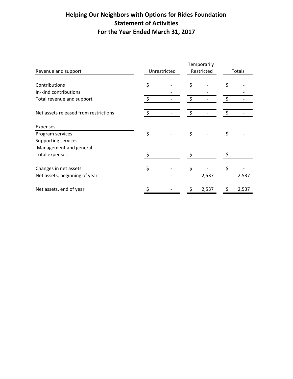## **Helping Our Neighbors with Options for Rides Foundation Statement of Activities For the Year Ended March 31, 2017**

|                                       |              |  |            | Temporarily |    |               |  |
|---------------------------------------|--------------|--|------------|-------------|----|---------------|--|
| Revenue and support                   | Unrestricted |  | Restricted |             |    | <b>Totals</b> |  |
|                                       |              |  |            |             |    |               |  |
| Contributions                         | \$           |  | \$         |             | \$ |               |  |
| In-kind contributions                 |              |  |            |             |    |               |  |
| Total revenue and support             |              |  | \$         |             | \$ |               |  |
| Net assets released from restrictions | \$           |  | \$         |             | \$ |               |  |
| Expenses                              |              |  |            |             |    |               |  |
| Program services                      | \$           |  | \$         |             | \$ |               |  |
| Supporting services-                  |              |  |            |             |    |               |  |
| Management and general                |              |  |            |             |    |               |  |
| Total expenses                        | $\zeta$      |  | \$         |             | \$ |               |  |
| Changes in net assets                 | \$           |  | \$         |             | \$ |               |  |
| Net assets, beginning of year         |              |  |            | 2,537       |    | 2,537         |  |
| Net assets, end of year               |              |  |            | 2,537       |    | 2,537         |  |
|                                       |              |  |            |             |    |               |  |